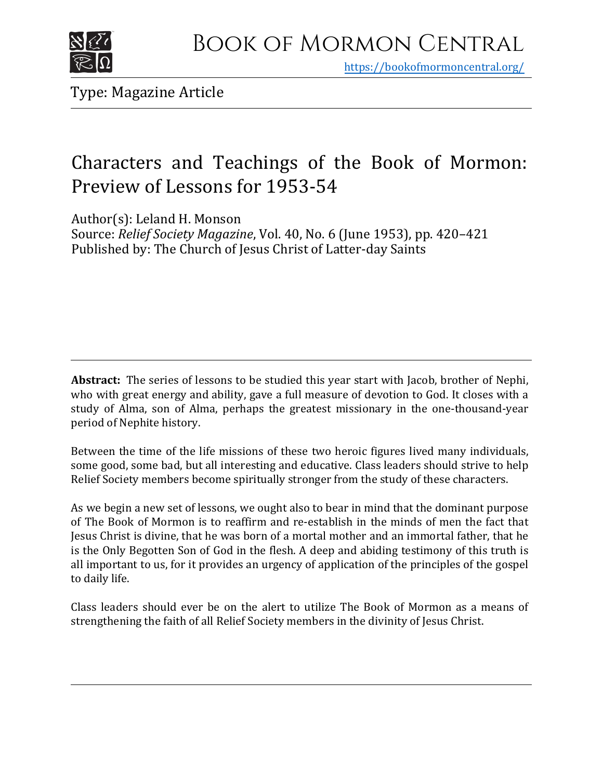

https[://bookofmormoncentral.org/](http://bookofmormoncentral.org/)

Type: Magazine Article

### Characters and Teachings of the Book of Mormon: Preview of Lessons for 1953-54

Author(s): Leland H. Monson

Source: *Relief Society Magazine*, Vol. 40, No. 6 (June 1953), pp. 420–421 Published by: The Church of Jesus Christ of Latter-day Saints

**Abstract:** The series of lessons to be studied this year start with Jacob, brother of Nephi, who with great energy and ability, gave a full measure of devotion to God. It closes with a study of Alma, son of Alma, perhaps the greatest missionary in the one-thousand-year period of Nephite history.

Between the time of the life missions of these two heroic figures lived many individuals, some good, some bad, but all interesting and educative. Class leaders should strive to help Relief Society members become spiritually stronger from the study of these characters.

As we begin a new set of lessons, we ought also to bear in mind that the dominant purpose of The Book of Mormon is to reaffirm and re-establish in the minds of men the fact that Jesus Christ is divine, that he was born of a mortal mother and an immortal father, that he is the Only Begotten Son of God in the flesh. A deep and abiding testimony of this truth is all important to us, for it provides an urgency of application of the principles of the gospel to daily life.

Class leaders should ever be on the alert to utilize The Book of Mormon as a means of strengthening the faith of all Relief Society members in the divinity of Jesus Christ.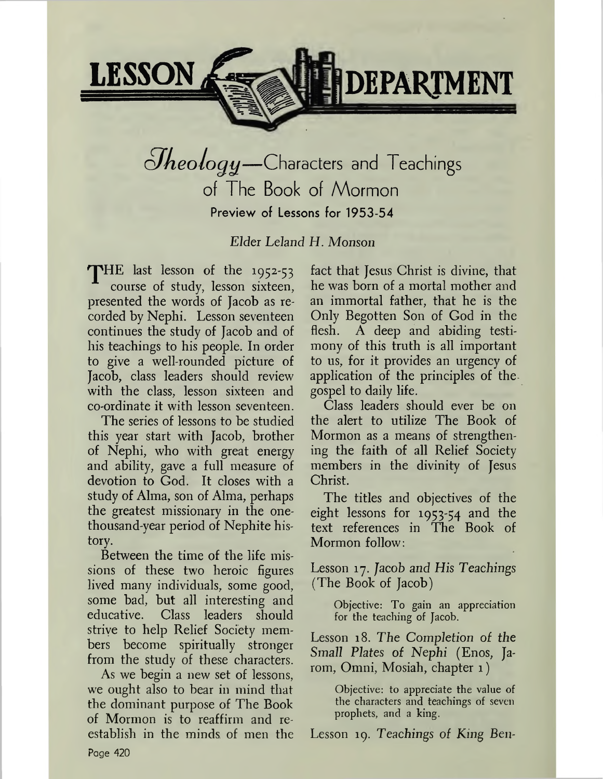

## *<u>Jheology</u>*—Characters and Teachings of The Book of Mormon Preview of Lessons for 1953-54

*Elder Leland H. Monson*

THE last lesson of the 1952-53 course of study, lesson sixteen, presented the words of Jacob as recorded by Nephi. Lesson seventeen continues the study of Jacob and of his teachings to his people. In order to give a well-rounded picture of Jacob, class leaders should review with the class, lesson sixteen and co-ordinate it with lesson seventeen.

The series of lessons to be studied this year start with Jacob, brother of Nephi, who with great energy and ability, gave a full measure of devotion to God. It closes with a study of Alma, son of Alma, perhaps the greatest missionary in the onethousand-year period of Nephite history.

Between the time of the life missions of these two heroic figures lived many individuals, some good, some bad, but all interesting and educative. Class leaders should strive to help Relief Society members become spiritually stronger from the study of these characters.

As we begin a new set of lessons, we ought also to bear in mind that the dominant purpose of The Book of Mormon is to reaffirm and reestablish in the minds of men the fact that Jesus Christ is divine, that he was born of a mortal mother and an immortal father, that he is the Only Begotten Son of God in the flesh. A deep and abiding testimony of this truth is all important to us, for it provides an urgency of application of the principles of the gospel to daily life.

Class leaders should ever be on the alert to utilize The Book of Mormon as a means of strengthening the faith of all Relief Society members in the divinity of Jesus Christ.

The titles and objectives of the eight lessons for 1953-54 and the text references in The Book of Mormon follow:

Lesson 17. Jacob *and His Teachings* (The Book of Jacob)

> Objective: To gain an appreciation for the teaching of Jacob.

Lesson 18. *The Completion of the Small Plates of Nephi* (Enos, Jarom, Omni, Mosiah, chapter 1)

> Objective: to appreciate the value of the characters and teachings of seven prophets, and a king.

Lesson 19. Teachings of King Ben-